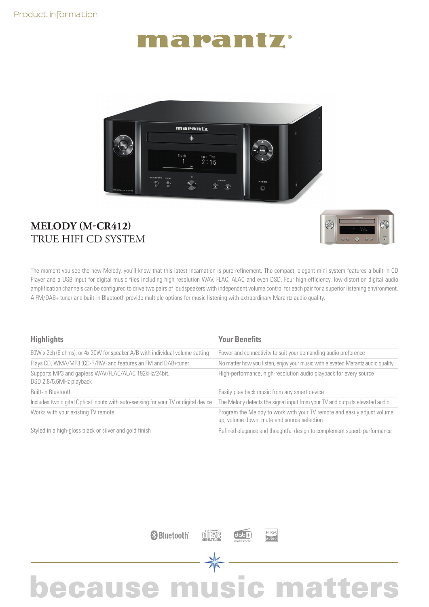## narantz



#### **MELODY (M-CR412)** TRUE HIFI CD SYSTEM



The moment you see the new Melody, you'll know that this latest incarnation is pure refinement. The compact, elegant mini-system features a built-in CD Player and a USB input for digital music files including high resolution WAV, FLAC, ALAC and even DSD. Four high-efficiency, low-distortion digital audio amplification channels can be configured to drive two pairs of loudspeakers with independent volume control for each pair for a superior listening environment. A FM/DAB+ tuner and built-in Bluetooth provide multiple options for music listening with extraordinary Marantz audio quality.

| <b>Highlights</b>                                                                   | <b>Your Benefits</b>                                                                                                  |  |
|-------------------------------------------------------------------------------------|-----------------------------------------------------------------------------------------------------------------------|--|
| 60W x 2ch (6 ohms), or 4x 30W for speaker A/B with individual volume setting        | Power and connectivity to suit your demanding audio preference                                                        |  |
| Plays CD, WMA/MP3 (CD-R/RW) and features an FM and DAB+tuner                        | No matter how you listen, enjoy your music with elevated Marantz audio quality                                        |  |
| Supports MP3 and gapless WAV/FLAC/ALAC 192kHz/24bit,<br>DSD 2.8/5.6MHz playback     | High-performance, high-resolution audio playback for every source                                                     |  |
| Built-in Bluetooth                                                                  | Easily play back music from any smart device                                                                          |  |
| Includes two digital Optical inputs with auto-sensing for your TV or digital device | The Melody detects the signal input from your TV and outputs elevated audio                                           |  |
| Works with your existing TV remote                                                  | Program the Melody to work with your TV remote and easily adjust volume<br>up, volume down, mute and source selection |  |
| Styled in a high-gloss black or silver and gold finish                              | Refined elegance and thoughtful design to complement superb performance                                               |  |





Hi Res

### because music matters

 $\frac{1}{\sqrt{2}}$ 

disc